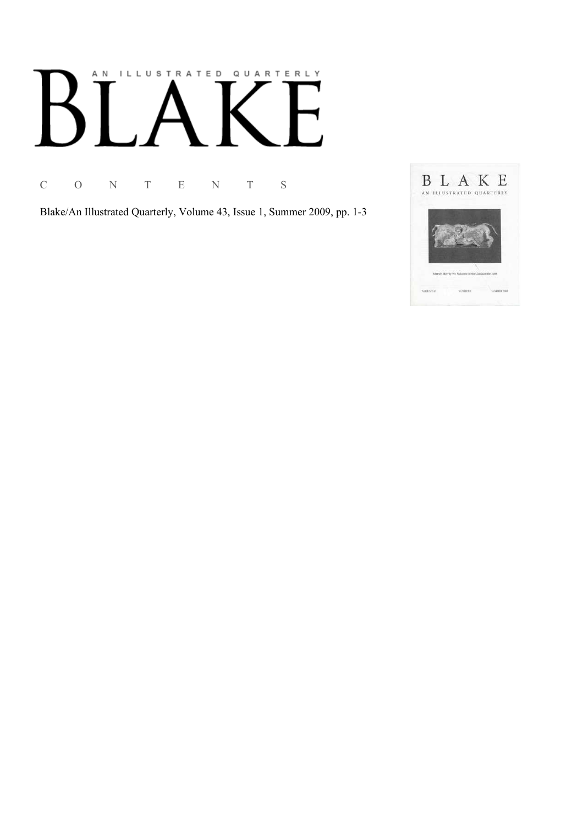# AN ILLUSTRATED QUARTERLY

C O N T E N T S

Blake/An Illustrated Quarterly, Volume 43, Issue 1, Summer 2009, pp. 1-3

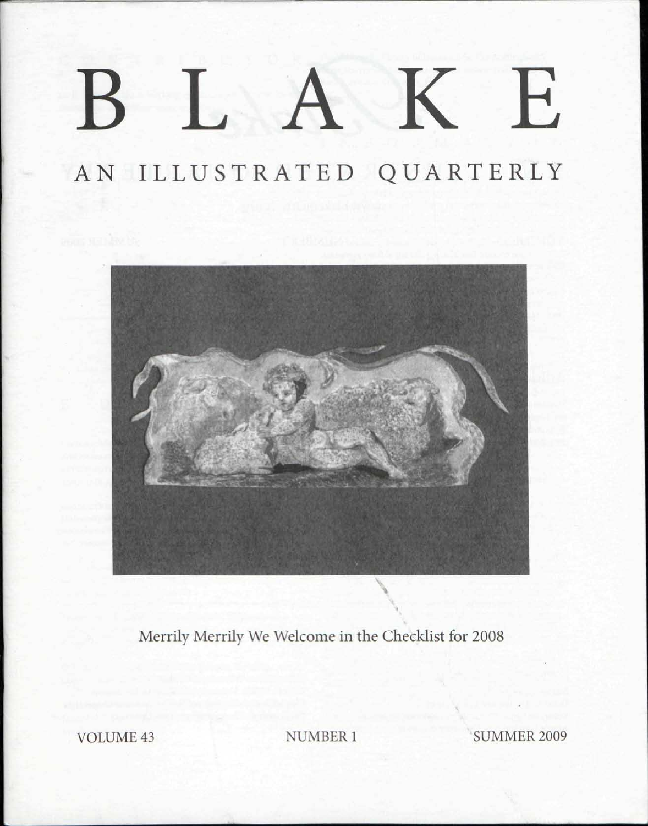## K E  $\left| \begin{array}{cc} 1 & 1 \end{array} \right|$  $\mathsf B$

## AN ILLUSTRATED QUARTERLY



Merrily Merrily We Welcome in the Checklist for 2008

VOLUME 43 NUMBER 1 SUMMER 2009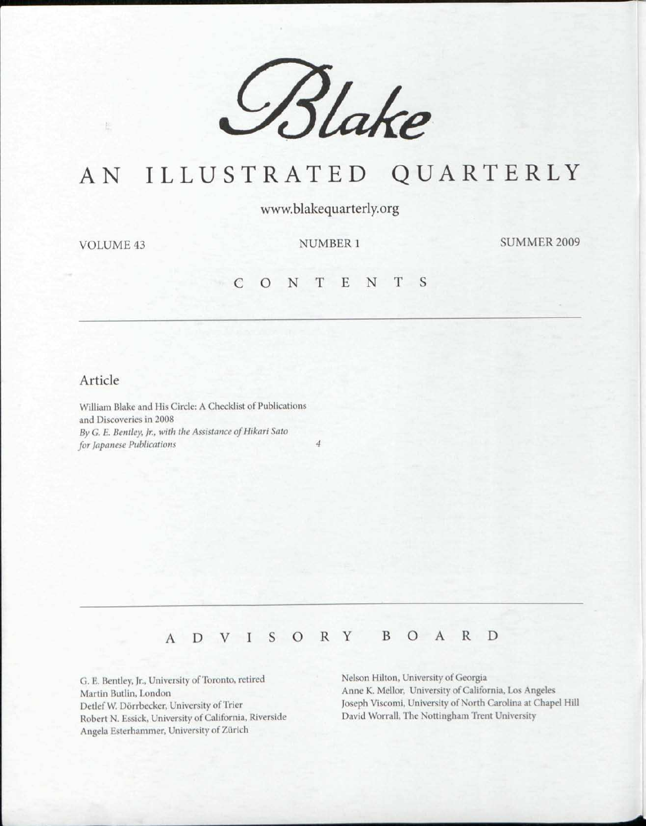

### AN ILLUSTRATED QUARTERLY

www.blakequarterly.org

 $\frac{1}{2}$ 

VOLUME 43 NUMBER 1 SUMMER 2009

#### C O N T E N T

#### Article

William Blake and His Circle: A Checklist of Publications and Discoveries in 2008 By G. E. Bentley, Jr., with the Assistance of Hikari Sato *for Japanese Publications 4* 

#### ADVISOR Y BOAR D

G. E. Bentley, Jr., University of Toronto, retired Martin Butlin, London DetlefW. Dorrbecker, University of Trier Robert N. Essick, University of California, Riverside Angela Esterhammer, University of Zurich

Nelson Hilton, University of Georgia Anne K. Mellor, University of California, Los Angeles Joseph Viscomi, University of North Carolina at Chapel Hill David Worrall, The Nottingham Trent University